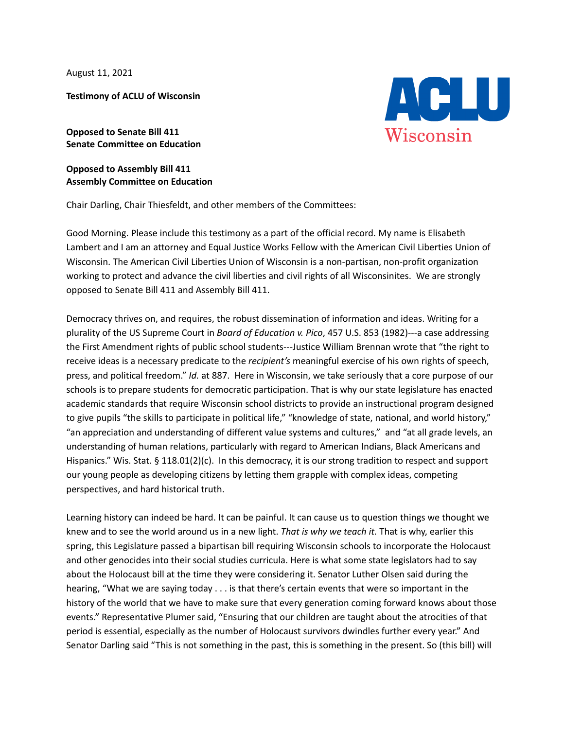August 11, 2021

**Testimony of ACLU of Wisconsin**

**Opposed to Senate Bill 411 Senate Committee on Education**

**Opposed to Assembly Bill 411 Assembly Committee on Education**

Chair Darling, Chair Thiesfeldt, and other members of the Committees:

Good Morning. Please include this testimony as a part of the official record. My name is Elisabeth Lambert and I am an attorney and Equal Justice Works Fellow with the American Civil Liberties Union of Wisconsin. The American Civil Liberties Union of Wisconsin is a non-partisan, non-profit organization working to protect and advance the civil liberties and civil rights of all Wisconsinites. We are strongly opposed to Senate Bill 411 and Assembly Bill 411.

Democracy thrives on, and requires, the robust dissemination of information and ideas. Writing for a plurality of the US Supreme Court in *Board of Education v. Pico*, 457 U.S. 853 (1982)---a case addressing the First Amendment rights of public school students---Justice William Brennan wrote that "the right to receive ideas is a necessary predicate to the *recipient's* meaningful exercise of his own rights of speech, press, and political freedom." *Id.* at 887. Here in Wisconsin, we take seriously that a core purpose of our schools is to prepare students for democratic participation. That is why our state legislature has enacted academic standards that require Wisconsin school districts to provide an instructional program designed to give pupils "the skills to participate in political life," "knowledge of state, national, and world history," "an appreciation and understanding of different value systems and cultures," and "at all grade levels, an understanding of human relations, particularly with regard to American Indians, Black Americans and Hispanics." Wis. Stat. § 118.01(2)(c). In this democracy, it is our strong tradition to respect and support our young people as developing citizens by letting them grapple with complex ideas, competing perspectives, and hard historical truth.

Learning history can indeed be hard. It can be painful. It can cause us to question things we thought we knew and to see the world around us in a new light. *That is why we teach it.* That is why, earlier this spring, this Legislature passed a bipartisan bill requiring Wisconsin schools to incorporate the Holocaust and other genocides into their social studies curricula. Here is what some state legislators had to say about the Holocaust bill at the time they were considering it. Senator Luther Olsen said during the hearing, "What we are saying today . . . is that there's certain events that were so important in the history of the world that we have to make sure that every generation coming forward knows about those events." Representative Plumer said, "Ensuring that our children are taught about the atrocities of that period is essential, especially as the number of Holocaust survivors dwindles further every year." And Senator Darling said "This is not something in the past, this is something in the present. So (this bill) will